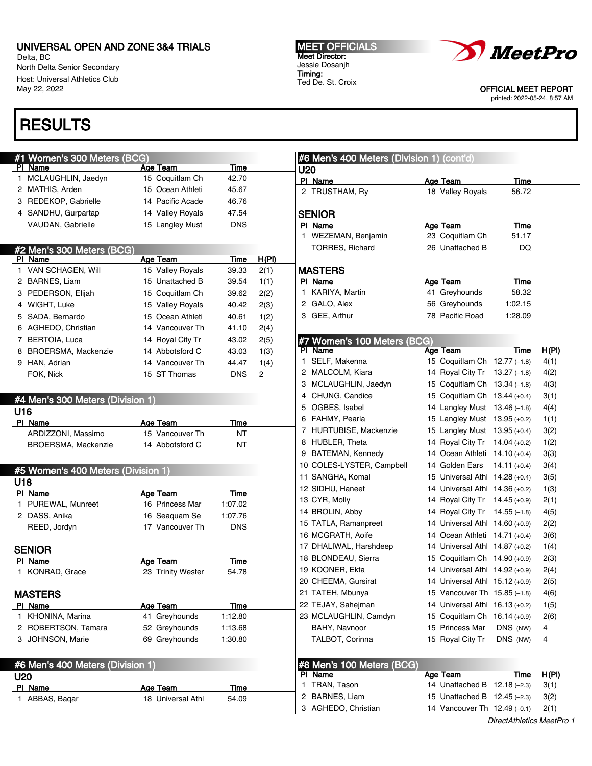Delta, BC North Delta Senior Secondary Host: Universal Athletics Club May 22, 2022

# **RESULTS**

U20

## #1 Women's 300 Meters (BCG) PI Name **Age Team** Time 1 MCLAUGHLIN, Jaedyn 15 Coquitlam Ch 42.70 2 MATHIS, Arden 15 Ocean Athleti 45.67 3 REDEKOP, Gabrielle 14 Pacific Acade 46.76 4 SANDHU, Gurpartap 14 Valley Royals 47.54 VAUDAN, Gabrielle 15 Langley Must DNS #2 Men's 300 Meters (BCG)<br>Pl Name Age Team Time H(PI) 1 VAN SCHAGEN, Will 15 Valley Royals 39.33 2(1) 2 BARNES, Liam 15 Unattached B 39.54 1(1) 3 PEDERSON, Elijah 15 Coquitlam Ch 39.62 2(2) 4 WIGHT, Luke 15 Valley Royals 40.42 2(3) 5 SADA, Bernardo 15 Ocean Athleti 40.61 1(2) 6 AGHEDO, Christian 14 Vancouver Th 41.10 2(4) 7 BERTOIA, Luca 14 Royal City Tr 43.02 2(5) 8 BROERSMA, Mackenzie 14 Abbotsford C 43.03 1(3) 9 HAN, Adrian 14 Vancouver Th 44.47 1(4) FOK, Nick 15 ST Thomas DNS 2 #4 Men's 300 Meters (Division 1) U16 PI Name **Age Team** Time ARDIZZONI, Massimo 15 Vancouver Th NT BROERSMA, Mackenzie 14 Abbotsford C NT #5 Women's 400 Meters (Division 1) U18

| PI<br>Name                       | Age Team          | Time       |  |  |  |  |
|----------------------------------|-------------------|------------|--|--|--|--|
| PUREWAL, Munreet<br>1            | 16 Princess Mar   | 1:07.02    |  |  |  |  |
| 2 DASS, Anika                    | 16 Seaquam Se     | 1:07.76    |  |  |  |  |
| REED, Jordyn                     | 17 Vancouver Th   | <b>DNS</b> |  |  |  |  |
|                                  |                   |            |  |  |  |  |
| <b>SENIOR</b>                    |                   |            |  |  |  |  |
| Name<br>PI.                      | Age Team          | Time       |  |  |  |  |
| KONRAD, Grace<br>1               | 23 Trinity Wester | 54.78      |  |  |  |  |
| <b>MASTERS</b>                   |                   |            |  |  |  |  |
| Name<br><b>PI</b>                | Age Team          | Time       |  |  |  |  |
| KHONINA, Marina<br>1             | 41 Greyhounds     | 1:12.80    |  |  |  |  |
| ROBERTSON, Tamara<br>2           | 52 Greyhounds     | 1:13.68    |  |  |  |  |
| JOHNSON, Marie<br>3              | 69 Greyhounds     | 1:30.80    |  |  |  |  |
|                                  |                   |            |  |  |  |  |
| #6 Men's 400 Meters (Division 1) |                   |            |  |  |  |  |

PI Name **Age Team** Time 1 ABBAS, Baqar 18 Universal Athl 54.09 MEET OFFICIALS Meet Director: Jessie Dosanjh Timing: Ted De. St. Croix



OFFICIAL MEET REPORT

printed: 2022-05-24, 8:57 AM

| #6 Men's 400 Meters (Division 1) (cont'd) |                                |                |              |
|-------------------------------------------|--------------------------------|----------------|--------------|
| U20                                       |                                |                |              |
| PI Name                                   | Age Team                       | Time           |              |
| 2 TRUSTHAM, Ry                            | 18 Valley Royals               | 56.72          |              |
| <b>SENIOR</b>                             |                                |                |              |
|                                           |                                |                |              |
| PI Name<br>WEZEMAN, Benjamin<br>1         | Age Team<br>23 Coquitlam Ch    | Time<br>51.17  |              |
| TORRES, Richard                           | 26 Unattached B                | DQ             |              |
|                                           |                                |                |              |
| <b>MASTERS</b>                            |                                |                |              |
| PI Name                                   | <b>Age Team</b>                | Time           |              |
| KARIYA, Martin<br>1.                      | 41 Greyhounds                  | 58.32          |              |
| 2 GALO, Alex                              | 56 Greyhounds                  | 1:02.15        |              |
| 3 GEE, Arthur                             | 78 Pacific Road                | 1:28.09        |              |
|                                           |                                |                |              |
| #7 Women's 100 Meters (BCG)               |                                |                |              |
| PI Name                                   | Age Team                       | Time           | <u>H(PI)</u> |
| SELF, Makenna<br>1.                       | 15 Coquitlam Ch                | $12.77(-1.8)$  | 4(1)         |
| 2 MALCOLM, Kiara                          | 14 Royal City Tr               | $13.27(-1.8)$  | 4(2)         |
| 3 MCLAUGHLIN, Jaedyn                      | 15 Coquitlam Ch                | $13.34(-1.8)$  | 4(3)         |
| 4 CHUNG, Candice                          | 15 Coquitlam Ch                | $13.44 (+0.4)$ | 3(1)         |
| 5 OGBES, Isabel                           | 14 Langley Must                | $13.46(-1.8)$  | 4(4)         |
| 6 FAHMY, Pearla                           | 15 Langley Must                | $13.95 (+0.2)$ | 1(1)         |
| 7 HURTUBISE, Mackenzie                    | 15 Langley Must                | $13.95 (+0.4)$ | 3(2)         |
| 8 HUBLER, Theta                           | 14 Royal City Tr               | $14.04 (+0.2)$ | 1(2)         |
| 9 BATEMAN, Kennedy                        | 14 Ocean Athleti               | $14.10 (+0.4)$ | 3(3)         |
| 10 COLES-LYSTER, Campbell                 | 14 Golden Ears                 | $14.11 (+0.4)$ | 3(4)         |
| 11 SANGHA, Komal                          | 15 Universal Athl              | $14.28(+0.4)$  | 3(5)         |
| 12 SIDHU, Haneet                          | 14 Universal Athl              | $14.36 (+0.2)$ | 1(3)         |
| 13 CYR, Molly                             | 14 Royal City Tr               | $14.45 (+0.9)$ | 2(1)         |
| 14 BROLIN, Abby                           | 14 Royal City Tr               | $14.55(-1.8)$  | 4(5)         |
| 15 TATLA, Ramanpreet                      | 14 Universal Athl              | $14.60 (+0.9)$ | 2(2)         |
| 16 MCGRATH, Aoife                         | 14 Ocean Athleti               | $14.71 (+0.4)$ | 3(6)         |
| 17 DHALIWAL, Harshdeep                    | 14 Universal Athl              | $14.87(+0.2)$  | 1(4)         |
| 18 BLONDEAU, Sierra                       | 15 Coquitlam Ch                | $14.90 (+0.9)$ | 2(3)         |
| 19 KOONER, Ekta                           | 14 Universal Athl 14.92 (+0.9) |                | 2(4)         |
| 20 CHEEMA, Gursirat                       | 14 Universal Athl 15.12 (+0.9) |                | 2(5)         |
| 21 TATEH, Mbunya                          | 15 Vancouver Th 15.85 (-1.8)   |                | 4(6)         |
| 22 TEJAY, Sahejman                        | 14 Universal Athl              | $16.13 (+0.2)$ | 1(5)         |
| 23 MCLAUGHLIN, Camdyn                     | 15 Coquitlam Ch                | $16.14 (+0.9)$ | 2(6)         |
| BAHY, Navnoor                             | 15 Princess Mar                | DNS (NW)       | 4            |
| TALBOT, Corinna                           | 15 Royal City Tr               | DNS (NW)       | 4            |
|                                           |                                |                |              |
| #8 Men's 100 Meters (BCG)                 |                                |                |              |
| PI Name                                   | <b>Age Team</b>                | <b>Time</b>    | <u>H(PI)</u> |
| TRAN, Tason<br>1.                         | 14 Unattached B                | $12.18(-2.3)$  | 3(1)         |
| 2 BARNES, Liam                            | 15 Unattached B                | $12.45(-2.3)$  | 3(2)         |

3 AGHEDO, Christian 14 Vancouver Th 12.49 (–0.1) 2(1)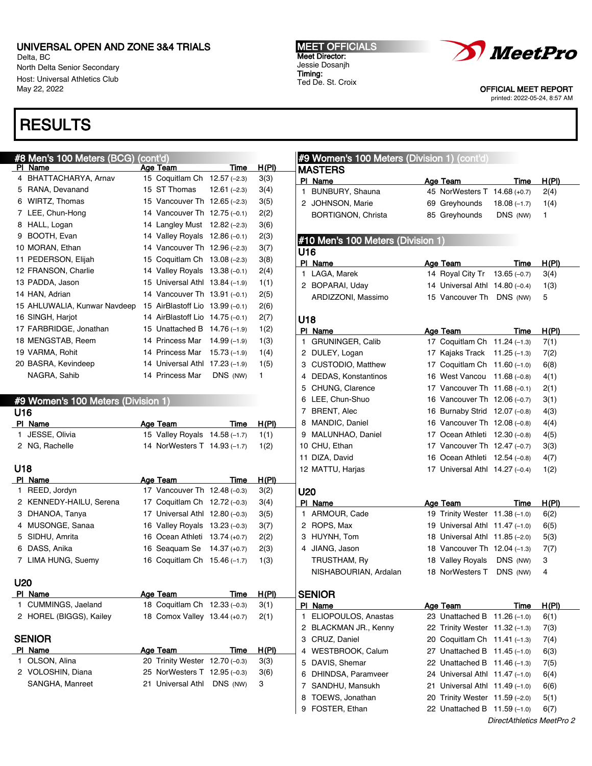Delta, BC North Delta Senior Secondary Host: Universal Athletics Club May 22, 2022

## **RESULTS**

#### #8 Men's 100 Meters (BCG) (cont'd) Age Team Time H(PI)

|   | 4 BHATTACHARYA, Arnav        | 15 Coquitlam Ch    | $12.57(-2.3)$ | 3(3) |
|---|------------------------------|--------------------|---------------|------|
| 5 | RANA, Devanand               | 15 ST Thomas       | $12.61(-2.3)$ | 3(4) |
| 6 | WIRTZ, Thomas                | 15 Vancouver Th    | $12.65(-2.3)$ | 3(5) |
| 7 | LEE, Chun-Hong               | 14 Vancouver Th    | $12.75(-0.1)$ | 2(2) |
| 8 | HALL, Logan                  | 14 Langley Must    | $12.82(-2.3)$ | 3(6) |
| 9 | BOOTH, Evan                  | 14 Valley Royals   | $12.86(-0.1)$ | 2(3) |
|   | 10 MORAN, Ethan              | 14 Vancouver Th    | $12.96(-2.3)$ | 3(7) |
|   | 11 PEDERSON, Elijah          | 15 Coquitlam Ch    | $13.08(-2.3)$ | 3(8) |
|   | 12 FRANSON, Charlie          | 14 Valley Royals   | $13.38(-0.1)$ | 2(4) |
|   | 13 PADDA, Jason              | 15 Universal Athl  | $13.84(-1.9)$ | 1(1) |
|   | 14 HAN, Adrian               | 14 Vancouver Th    | $13.91(-0.1)$ | 2(5) |
|   | 15 AHLUWALIA, Kunwar Navdeep | 15 AirBlastoff Lio | $13.99(-0.1)$ | 2(6) |
|   | 16 SINGH, Harjot             | 14 AirBlastoff Lio | $14.75(-0.1)$ | 2(7) |
|   | 17 FARBRIDGE, Jonathan       | 15 Unattached B    | $14.76(-1.9)$ | 1(2) |
|   | 18 MENGSTAB, Reem            | 14 Princess Mar    | $14.99(-1.9)$ | 1(3) |
|   | 19 VARMA, Rohit              | 14 Princess Mar    | $15.73(-1.9)$ | 1(4) |
|   | 20 BASRA, Kevindeep          | 14 Universal Athl  | $17.23(-1.9)$ | 1(5) |
|   | NAGRA, Sahib                 | 14 Princess Mar    | DNS (NW)      | 1    |

#### #9 Women's 100 Meters (Division 1)  $\overline{U}$

| U16          |                         |                                |          |       | 7 BRENT, Alec           | 16 Burnaby Strid 12.07 (-0.8)  |          | 4(3)         |
|--------------|-------------------------|--------------------------------|----------|-------|-------------------------|--------------------------------|----------|--------------|
|              | PI Name                 | Age Team                       | Time     | H(PI) | 8 MANDIC, Daniel        | 16 Vancouver Th 12.08 (-0.8)   |          | 4(4)         |
|              | JESSE, Olivia           | 15 Valley Royals 14.58 (-1.7)  |          | 1(1)  | 9 MALUNHAO, Daniel      | 17 Ocean Athleti 12.30 (-0.8)  |          | 4(5)         |
|              | 2 NG, Rachelle          | 14 NorWesters T 14.93 (-1.7)   |          | 1(2)  | 10 CHU, Ethan           | 17 Vancouver Th 12.47 (-0.7)   |          | 3(3)         |
|              |                         |                                |          |       | 11 DIZA, David          | 16 Ocean Athleti 12.54 (-0.8)  |          | 4(7)         |
| U18          |                         |                                |          |       | 12 MATTU, Harjas        | 17 Universal Athl 14.27 (-0.4) |          | 1(2)         |
|              | PI Name                 | Age Team                       | Time     | H(PI) |                         |                                |          |              |
| $\mathbf{1}$ | REED, Jordyn            | 17 Vancouver Th 12.48 (-0.3)   |          | 3(2)  | <b>U20</b>              |                                |          |              |
|              | 2 KENNEDY-HAILU, Serena | 17 Coquitlam Ch 12.72 (-0.3)   |          | 3(4)  | PI Name                 | Age Team                       | Time     | <u>H(PI)</u> |
|              | 3 DHANOA, Tanya         | 17 Universal Athl 12.80 (-0.3) |          | 3(5)  | 1 ARMOUR, Cade          | 19 Trinity Wester 11.38 (-1.0) |          | 6(2)         |
|              | 4 MUSONGE, Sanaa        | 16 Valley Royals 13.23 (-0.3)  |          | 3(7)  | 2 ROPS, Max             | 19 Universal Athl 11.47 (-1.0) |          | 6(5)         |
|              | 5 SIDHU, Amrita         | 16 Ocean Athleti 13.74 (+0.7)  |          | 2(2)  | 3 HUYNH, Tom            | 18 Universal Athl 11.85 (-2.0) |          | 5(3)         |
|              | 6 DASS, Anika           | 16 Seaguam Se 14.37 (+0.7)     |          | 2(3)  | 4 JIANG, Jason          | 18 Vancouver Th 12.04 (-1.3)   |          | 7(7)         |
|              | 7 LIMA HUNG, Suemy      | 16 Coquitlam Ch 15.46 (-1.7)   |          | 1(3)  | TRUSTHAM, Ry            | 18 Valley Royals               | DNS (NW) | 3            |
|              |                         |                                |          |       | NISHABOURIAN, Ardalan   | 18 NorWesters T                | DNS (NW) | 4            |
| <b>U20</b>   |                         |                                |          |       |                         |                                |          |              |
|              | PI Name                 | Age Team                       | Time     | H(PI) | <b>SENIOR</b>           |                                |          |              |
|              | 1 CUMMINGS, Jaeland     | 18 Coquitlam Ch 12.33 (-0.3)   |          | 3(1)  | PI Name                 | Age Team                       | Time     | H(PI)        |
|              | 2 HOREL (BIGGS), Kailey | 18 Comox Valley 13.44 (+0.7)   |          | 2(1)  | 1 ELIOPOULOS, Anastas   | 23 Unattached B 11.26 (-1.0)   |          | 6(1)         |
|              |                         |                                |          |       | 2 BLACKMAN JR., Kenny   | 22 Trinity Wester 11.32 (-1.3) |          | 7(3)         |
|              | <b>SENIOR</b>           |                                |          |       | 3 CRUZ, Daniel          | 20 Coquitlam Ch 11.41 (-1.3)   |          | 7(4)         |
|              | PI Name                 | Age Team                       | Time     | H(PI) | 4 WESTBROOK, Calum      | 27 Unattached B 11.45 (-1.0)   |          | 6(3)         |
|              | 1 OLSON, Alina          | 20 Trinity Wester 12.70 (-0.3) |          | 3(3)  | 5 DAVIS, Shemar         | 22 Unattached B 11.46 (-1.3)   |          | 7(5)         |
|              | 2 VOLOSHIN, Diana       | 25 NorWesters T 12.95 (-0.3)   |          | 3(6)  | DHINDSA, Paramveer<br>6 | 24 Universal Athl 11.47 (-1.0) |          | 6(4)         |
|              | SANGHA, Manreet         | 21 Universal Athl              | DNS (NW) | 3     | SANDHU, Mansukh         | 21 Universal Athl 11.49 (-1.0) |          | 6(6)         |
|              |                         |                                |          |       | TOEWS, Jonathan         | 20 Trinity Wester 11.59 (-2.0) |          | 5(1)         |
|              |                         |                                |          |       | FOSTER, Ethan<br>9      | 22 Unattached B 11.59 (-1.0)   |          | 6(7)         |

MEET OFFICIALS Meet Director: Jessie Dosanjh Timing: Ted De. St. Croix

MASTERS

U16

U18

#9 Women's 100 Meters (Division 1) (cont'd)

#10 Men's 100 Meters (Division 1)

PI Name **Age Team** Time H(PI) 1 BUNBURY, Shauna 45 NorWesters T 14.68 (+0.7) 2(4) 2 JOHNSON, Marie 69 Greyhounds 18.08 (–1.7) 1(4) BORTIGNON, Christa 85 Greyhounds DNS (NW) 1

PI Name **Age Team** Time H(PI) 1 LAGA, Marek 14 Royal City Tr 13.65 (–0.7) 3(4) 2 BOPARAI, Uday 14 Universal Athl 14.80 (–0.4) 1(3) ARDIZZONI, Massimo 15 Vancouver Th DNS (NW) 5

PI Name **Age Team** Time H(PI) GRUNINGER, Calib 17 Coquitlam Ch 11.24 (–1.3) 7(1) DULEY, Logan 17 Kajaks Track 11.25 (–1.3) 7(2) CUSTODIO, Matthew 17 Coquitlam Ch 11.60 (–1.0) 6(8) DEDAS, Konstantinos 16 West Vancou 11.68 (–0.8) 4(1) CHUNG, Clarence 17 Vancouver Th 11.68 (–0.1) 2(1) LEE, Chun-Shuo 16 Vancouver Th 12.06 (–0.7) 3(1)



OFFICIAL MEET REPORT printed: 2022-05-24, 8:57 AM

 $\text{red } B$  11.45 (–1.0) 6(3)  $\text{red } B$  11.46 (–1.3) 7(5)

| $\text{Inattached B} \quad 11.59 \, \text{{\small (-1.0)}}$ |                           | 6(7) |
|-------------------------------------------------------------|---------------------------|------|
|                                                             | DirectAthletics MeetPro 2 |      |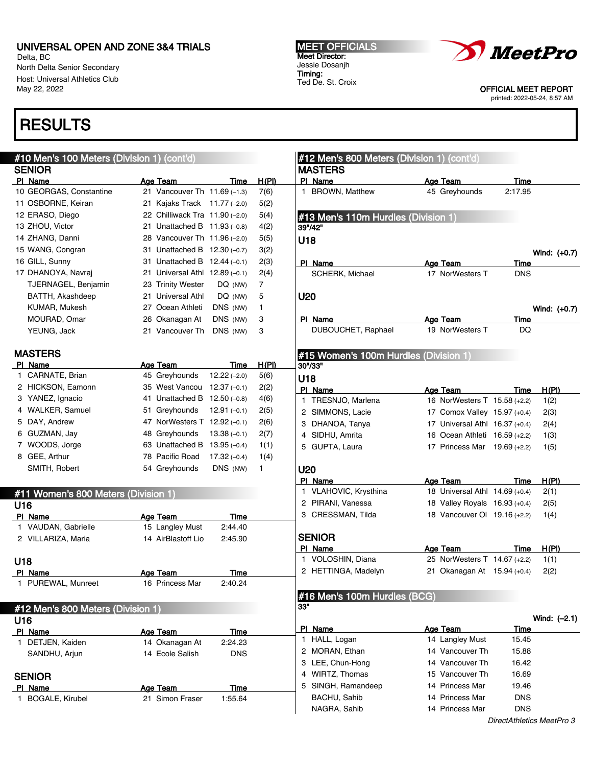Delta, BC North Delta Senior Secondary Host: Universal Athletics Club May 22, 2022

## **RESULTS**

#### #10 Men's 100 Meters (Division 1) (cont'd) **SENIOR** PI Name **Age Team** Age Team Time H(PI) 10 GEORGAS, Constantine 21 Vancouver Th 11.69 (–1.3) 7(6) 11 OSBORNE, Keiran 21 Kajaks Track 11.77 (–2.0) 5(2) 12 ERASO, Diego 22 Chilliwack Tra 11.90 (–2.0) 5(4) 13 ZHOU, Victor 21 Unattached B 11.93 (–0.8) 4(2) 14 ZHANG, Danni 28 Vancouver Th 11.96 (–2.0) 5(5) 15 WANG, Congran 31 Unattached B 12.30 (–0.7) 3(2) 16 GILL, Sunny 31 Unattached B 12.44 (–0.1) 2(3) 17 DHANOYA, Navraj 21 Universal Athl 12.89 (–0.1) 2(4) TJERNAGEL, Benjamin 23 Trinity Wester DQ (NW) 7 BATTH, Akashdeep 21 Universal Athl DQ (NW) 5 KUMAR, Mukesh 27 Ocean Athleti DNS (NW) 1 MOURAD, Omar 26 Okanagan At DNS (NW) 3 YEUNG, Jack 21 Vancouver Th DNS (NW) 3 MASTERS PI Name **Age Team** Time H(PI) 1 CARNATE, Brian 45 Greyhounds 12.22 (–2.0) 5(6) 2 HICKSON, Eamonn 35 West Vancou 12.37 (–0.1) 2(2) 3 YANEZ, Ignacio 41 Unattached B 12.50 (–0.8) 4(6) 4 WALKER, Samuel 51 Greyhounds 12.91 (–0.1) 2(5) 5 DAY, Andrew 47 NorWesters T 12.92 (–0.1) 2(6) 6 GUZMAN, Jay 48 Greyhounds 13.38 (–0.1) 2(7) 7 WOODS, Jorge 63 Unattached B 13.95 (–0.4) 1(1) 8 GEE, Arthur 78 Pacific Road 17.32 (–0.4) 1(4) SMITH, Robert 64 Greyhounds DNS (NW) 1 #11 Women's 800 Meters (Division 1) U16 PI Name **Age Team** Age Team Time 1 VAUDAN, Gabrielle 15 Langley Must 2:44.40 2 VILLARIZA, Maria 14 AirBlastoff Lio 2:45.90 U18 PI Name **Age Team** Time 1 PUREWAL, Munreet 16 Princess Mar 2:40.24 #12 Men's 800 Meters (Division 1) U16 PI Name Age Team Time 1 DETJEN, Kaiden 14 Okanagan At 2:24.23 SANDHU, Arjun 14 Ecole Salish DNS **SENIOR** PI Name **Age Team** Time 1 BOGALE, Kirubel 21 Simon Fraser 1:55.64 #12 Men's 800 Meters (Division 1) (cont'd) MASTERS PI Name Age Team Time 1 BROWN, Matthew 45 Greyhounds 2:17.95 #13 Men's 110m Hurdles (Division 1) 39"/42" U18 Wind: (+0.7) PI Name **Age Team** Time SCHERK, Michael 17 NorWesters T DNS U20 Wind: (+0.7) PI Name **Age Team** Time DUBOUCHET, Raphael 19 NorWesters T DQ #15 Women's 100m Hurdles (Division 1) 30"/33" U18 PI Name **Age Team** Time H(PI) 1 TRESNJO, Marlena 16 NorWesters T 15.58 (+2.2) 1(2) 2 SIMMONS, Lacie 17 Comox Valley 15.97 (+0.4) 2(3) 3 DHANOA, Tanya 17 Universal Athl 16.37 (+0.4) 2(4) 4 SIDHU, Amrita 16 Ocean Athleti 16.59 (+2.2) 1(3) 5 GUPTA, Laura 17 Princess Mar 19.69 (+2.2) 1(5) U20 PI Name **Age Team** Time H(PI) 1 VLAHOVIC, Krysthina 18 Universal Athl 14.69 (+0.4) 2(1) 2 PIRANI, Vanessa 18 Valley Royals 16.93 (+0.4) 2(5) 3 CRESSMAN, Tilda 18 Vancouver Ol 19.16 (+2.2) 1(4) SENIOR PI Name **Age Team** Time H(PI) 1 VOLOSHIN, Diana 25 NorWesters T 14.67 (+2.2) 1(1) 2 HETTINGA, Madelyn 21 Okanagan At 15.94 (+0.4) 2(2) #16 Men's 100m Hurdles (BCG)  $33"$ Wind: (–2.1) PI Name Age Team Time 1 HALL, Logan 14 Langley Must 15.45 2 MORAN, Ethan 14 Vancouver Th 15.88 3 LEE, Chun-Hong 14 Vancouver Th 16.42 4 WIRTZ, Thomas 15 Vancouver Th 16.69 5 SINGH, Ramandeep 14 Princess Mar 19.46 BACHU, Sahib 14 Princess Mar DNS NAGRA, Sahib 14 Princess Mar DNS

MEET OFFICIALS Meet Director: Jessie Dosanjh Timing: Ted De. St. Croix



OFFICIAL MEET REPORT

printed: 2022-05-24, 8:57 AM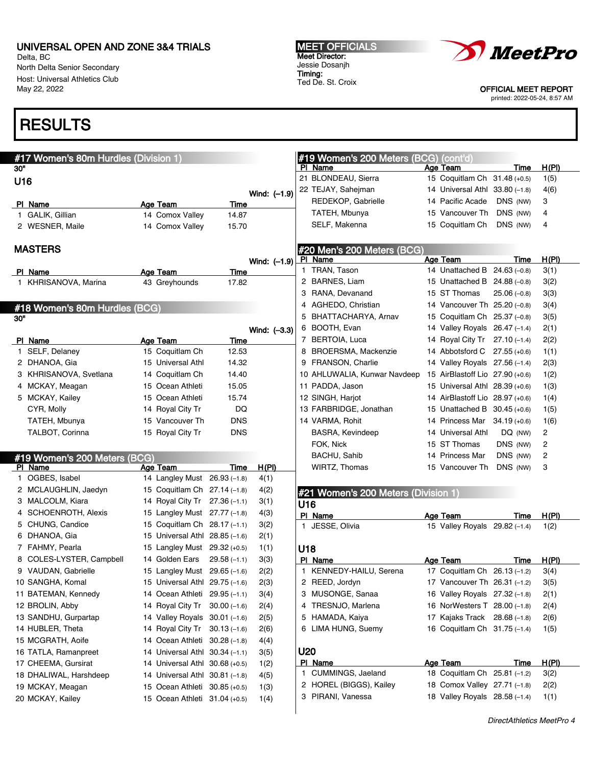Delta, BC North Delta Senior Secondary Host: Universal Athletics Club May 22, 2022

# **RESULTS**

| #17 Women's 80m Hurdles (Division 1)<br>#19 Women's 200 Meters (BCG) (cont'd)<br>PI Name<br>30"<br>Age Team<br>21 BLONDEAU, Sierra<br>15 Coquitlam Ch 31.48 (+0.5)<br>U16<br>22 TEJAY, Sahejman<br>14 Universal Athl 33.80 (-1.8)<br>Wind: (-1.9) | Time          |                      |
|---------------------------------------------------------------------------------------------------------------------------------------------------------------------------------------------------------------------------------------------------|---------------|----------------------|
|                                                                                                                                                                                                                                                   |               |                      |
|                                                                                                                                                                                                                                                   |               | <u>H(PI)</u><br>1(5) |
|                                                                                                                                                                                                                                                   |               | 4(6)                 |
| REDEKOP, Gabrielle<br>14 Pacific Acade                                                                                                                                                                                                            | DNS (NW)      | 3                    |
| PI Name<br>Age Team<br>Time<br>TATEH, Mbunya<br>15 Vancouver Th                                                                                                                                                                                   | DNS (NW)      | 4                    |
| 1 GALIK, Gillian<br>14 Comox Valley<br>14.87                                                                                                                                                                                                      |               |                      |
| SELF, Makenna<br>15 Coquitlam Ch<br>2 WESNER, Maile<br>14 Comox Valley<br>15.70                                                                                                                                                                   | DNS (NW)      | 4                    |
| <b>MASTERS</b>                                                                                                                                                                                                                                    |               |                      |
| #20 Men's 200 Meters (BCG)<br>PI Name<br>Age Team<br>Wind: $(-1.9)$                                                                                                                                                                               | Time          | H(PI)                |
| 1 TRAN, Tason<br>14 Unattached B 24.63 (-0.8)<br>PI Name<br><b>Age Team</b><br><b>Time</b>                                                                                                                                                        |               | 3(1)                 |
| 2 BARNES, Liam<br>15 Unattached B 24.88 (-0.8)<br>1 KHRISANOVA, Marina<br>43 Greyhounds<br>17.82                                                                                                                                                  |               | 3(2)                 |
| 3 RANA, Devanand<br>15 ST Thomas                                                                                                                                                                                                                  | $25.06(-0.8)$ | 3(3)                 |
| 4 AGHEDO, Christian<br>14 Vancouver Th 25.20 (-0.8)                                                                                                                                                                                               |               | 3(4)                 |
| #18 Women's 80m Hurdles (BCG)<br>BHATTACHARYA, Arnav<br>15 Coquitlam Ch 25.37 (-0.8)<br>5                                                                                                                                                         |               | 3(5)                 |
| 30"<br>6 BOOTH, Evan<br>14 Valley Royals 26.47 (-1.4)                                                                                                                                                                                             |               | 2(1)                 |
| Wind: (-3.3)<br>7 BERTOIA, Luca                                                                                                                                                                                                                   |               |                      |
| 14 Royal City Tr 27.10 (-1.4)<br>PI Name<br>Age Team<br>Time                                                                                                                                                                                      |               | 2(2)                 |
| 1 SELF, Delaney<br>15 Coquitlam Ch<br>12.53<br>8 BROERSMA, Mackenzie<br>14 Abbotsford C 27.55 (+0.6)                                                                                                                                              |               | 1(1)                 |
| 14.32<br>9 FRANSON, Charlie<br>2 DHANOA, Gia<br>15 Universal Athl<br>14 Valley Royals 27.56 (-1.4)                                                                                                                                                |               | 2(3)                 |
| 10 AHLUWALIA, Kunwar Navdeep<br>15 AirBlastoff Lio 27.90 (+0.6)<br>3 KHRISANOVA, Svetlana<br>14 Coquitlam Ch<br>14.40                                                                                                                             |               | 1(2)                 |
| 11 PADDA, Jason<br>4 MCKAY, Meagan<br>15 Ocean Athleti<br>15.05<br>15 Universal Athl 28.39 (+0.6)                                                                                                                                                 |               | 1(3)                 |
| 5 MCKAY, Kailey<br>15 Ocean Athleti<br>15.74<br>12 SINGH, Harjot<br>14 AirBlastoff Lio 28.97 (+0.6)                                                                                                                                               |               | 1(4)                 |
| DQ<br>13 FARBRIDGE, Jonathan<br>CYR, Molly<br>14 Royal City Tr<br>15 Unattached B 30.45 (+0.6)                                                                                                                                                    |               | 1(5)                 |
| <b>DNS</b><br>14 VARMA, Rohit<br>TATEH, Mbunya<br>15 Vancouver Th<br>14 Princess Mar 34.19 (+0.6)                                                                                                                                                 |               | 1(6)                 |
| <b>DNS</b><br>TALBOT, Corinna<br>15 Royal City Tr<br>BASRA, Kevindeep<br>14 Universal Athl                                                                                                                                                        | DQ (NW)       | 2                    |
| FOK, Nick<br>15 ST Thomas                                                                                                                                                                                                                         | DNS (NW)      | 2                    |
| BACHU, Sahib<br>14 Princess Mar<br>#19 Women's 200 Meters (BCG)                                                                                                                                                                                   | DNS (NW)      | 2                    |
| PI Name<br>Age Team<br>H(PI)<br>Time<br>WIRTZ, Thomas<br>15 Vancouver Th                                                                                                                                                                          | DNS (NW)      | 3                    |
| 1 OGBES, Isabel<br>14 Langley Must 26.93 (-1.8)<br>4(1)                                                                                                                                                                                           |               |                      |
| 2 MCLAUGHLIN, Jaedyn<br>15 Coquitlam Ch 27.14 (-1.8)<br>4(2)<br>#21 Women's 200 Meters (Division 1)                                                                                                                                               |               |                      |
| 3 MALCOLM, Kiara<br>14 Royal City Tr 27.36 (-1.1)<br>3(1)<br>U16                                                                                                                                                                                  |               |                      |
| 4 SCHOENROTH, Alexis<br>15 Langley Must 27.77 (-1.8)<br>4(3)<br>PI Name<br><b>Age Team</b>                                                                                                                                                        | Time          | <u>H(PI)</u>         |
| 5 CHUNG, Candice<br>15 Coquitlam Ch 28.17 (-1.1)<br>3(2)<br>1 JESSE, Olivia<br>15 Valley Royals 29.82 (-1.4)                                                                                                                                      |               | 1(2)                 |
| 6 DHANOA, Gia<br>15 Universal Athl 28.85 (-1.6)<br>2(1)                                                                                                                                                                                           |               |                      |
| 7 FAHMY, Pearla<br>15 Langley Must 29.32 (+0.5)<br>1(1)<br>U18                                                                                                                                                                                    |               |                      |
| 8 COLES-LYSTER, Campbell<br>14 Golden Ears<br>$29.58(-1.1)$<br>3(3)<br>PI Name<br>Age Team                                                                                                                                                        | Time          | H(PI)                |
| 2(2)<br>1 KENNEDY-HAILU, Serena<br>17 Coquitlam Ch 26.13 (-1.2)<br>9 VAUDAN, Gabrielle<br>15 Langley Must 29.65 (-1.6)                                                                                                                            |               | 3(4)                 |
| 10 SANGHA, Komal<br>15 Universal Athl 29.75 (-1.6)<br>2(3)<br>2 REED, Jordyn<br>17 Vancouver Th 26.31 (-1.2)                                                                                                                                      |               | 3(5)                 |
| 11 BATEMAN, Kennedy<br>14 Ocean Athleti 29.95 (-1.1)<br>3(4)<br>3 MUSONGE, Sanaa<br>16 Valley Royals 27.32 (-1.8)                                                                                                                                 |               | 2(1)                 |
| 12 BROLIN, Abby<br>14 Royal City Tr<br>4 TRESNJO, Marlena<br>$30.00(-1.6)$<br>2(4)<br>16 NorWesters T 28.00 (-1.8)                                                                                                                                |               | 2(4)                 |
| 5 HAMADA, Kaiya<br>13 SANDHU, Gurpartap<br>14 Valley Royals 30.01 (-1.6)<br>17 Kajaks Track 28.68 (-1.8)<br>2(5)                                                                                                                                  |               | 2(6)                 |
| 16 Coquitlam Ch 31.75 (-1.4)<br>14 HUBLER, Theta<br>14 Royal City Tr<br>6 LIMA HUNG, Suemy<br>$30.13(-1.6)$<br>2(6)                                                                                                                               |               | 1(5)                 |
| 15 MCGRATH, Aoife<br>14 Ocean Athleti<br>$30.28(-1.8)$<br>4(4)                                                                                                                                                                                    |               |                      |
| U20<br>16 TATLA, Ramanpreet<br>14 Universal Athl 30.34 (-1.1)<br>3(5)                                                                                                                                                                             |               |                      |
| PI Name<br>Age Team<br>17 CHEEMA, Gursirat<br>14 Universal Athl 30.68 (+0.5)<br>1(2)                                                                                                                                                              | <u>Time</u>   | H(PI)                |
| 1 CUMMINGS, Jaeland<br>18 Coquitlam Ch 25.81 (-1.2)<br>18 DHALIWAL, Harshdeep<br>14 Universal Athl 30.81 (-1.8)<br>4(5)                                                                                                                           |               | 3(2)                 |
| 2 HOREL (BIGGS), Kailey<br>18 Comox Valley 27.71 (-1.8)<br>19 MCKAY, Meagan<br>15 Ocean Athleti<br>$30.85 (+0.5)$<br>1(3)                                                                                                                         |               | 2(2)                 |
| 3 PIRANI, Vanessa<br>18 Valley Royals 28.58 (-1.4)<br>20 MCKAY, Kailey<br>15 Ocean Athleti 31.04 (+0.5)<br>1(4)                                                                                                                                   |               | 1(1)                 |

Ted De. St. Croix



OFFICIAL MEET REPORT

printed: 2022-05-24, 8:57 AM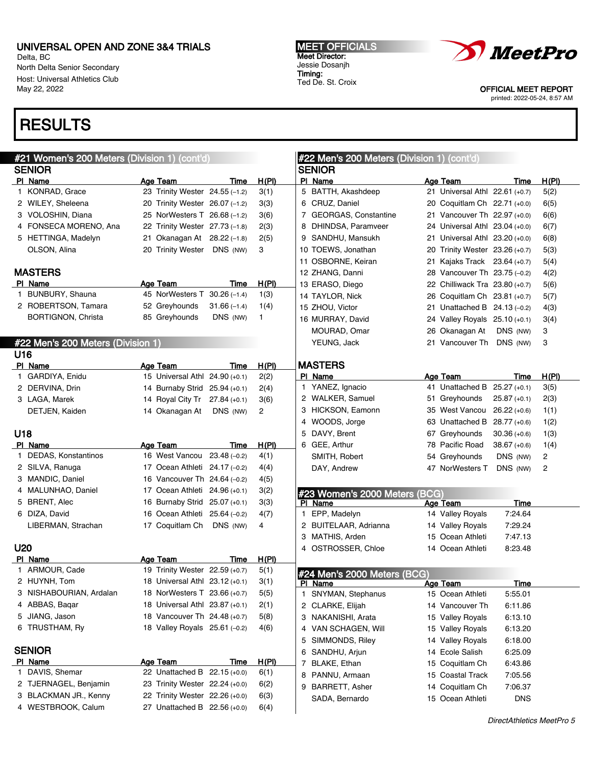4 WESTBROOK, Calum 27 Unattached B 22.56 (+0.0) 6(4)

Delta, BC North Delta Senior Secondary Host: Universal Athletics Club May 22, 2022

# RESULTS

#### #21 Women's 200 Meters (Division 1) (cont'd) **SENIOR** PI Name **Age Team** Age Team Time H(PI) 1 KONRAD, Grace 23 Trinity Wester 24.55 (–1.2) 3(1) 2 WILEY, Sheleena 20 Trinity Wester 26.07 (–1.2) 3(3) 3 VOLOSHIN, Diana 25 NorWesters T 26.68 (–1.2) 3(6) 4 FONSECA MORENO, Ana 22 Trinity Wester 27.73 (–1.8) 2(3) 5 HETTINGA, Madelyn 21 Okanagan At 28.22 (–1.8) 2(5) OLSON, Alina 20 Trinity Wester DNS (NW) 3 MASTERS PI Name **Age Team** Time H(PI) 1 BUNBURY, Shauna 45 NorWesters T 30.26 (–1.4) 1(3) 2 ROBERTSON, Tamara 52 Greyhounds 31.66 (–1.4) 1(4) BORTIGNON, Christa 85 Greyhounds DNS (NW) 1 #22 Men's 200 Meters (Division 1) U16 PI Name **Age Team** Time H(PI) 1 GARDIYA, Enidu 15 Universal Athl 24.90 (+0.1) 2(2) 2 DERVINA, Drin 14 Burnaby Strid 25.94 (+0.1) 2(4) 3 LAGA, Marek 14 Royal City Tr 27.84 (+0.1) 3(6) DETJEN, Kaiden 14 Okanagan At DNS (NW) 2 U18 PI Name **Age Team** Age Team Time H(PI) 1 DEDAS, Konstantinos 16 West Vancou 23.48 (–0.2) 4(1) 2 SILVA, Ranuga 17 Ocean Athleti 24.17 (–0.2) 4(4) 3 MANDIC, Daniel 16 Vancouver Th 24.64 (–0.2) 4(5) 4 MALUNHAO, Daniel 17 Ocean Athleti 24.96 (+0.1) 3(2) 5 BRENT, Alec 16 Burnaby Strid 25.07 (+0.1) 3(3) 6 DIZA, David 16 Ocean Athleti 25.64 (–0.2) 4(7) LIBERMAN, Strachan 17 Coquitlam Ch DNS (NW) 4 U20 PI Name **Age Team** Time H(PI) 1 ARMOUR, Cade 19 Trinity Wester 22.59 (+0.7) 5(1) 2 HUYNH, Tom 18 Universal Athl 23.12 (+0.1) 3(1) 3 NISHABOURIAN, Ardalan 18 NorWesters T 23.66 (+0.7) 5(5) 4 ABBAS, Baqar 18 Universal Athl 23.87 (+0.1) 2(1) 5 JIANG, Jason 18 Vancouver Th 24.48 (+0.7) 5(8) 6 TRUSTHAM, Ry 18 Valley Royals 25.61 (–0.2) 4(6) **SENIOR** PI Name **Age Team** Time H(PI) 1 DAVIS, Shemar 22 Unattached B 22.15 (+0.0) 6(1) 2 TJERNAGEL, Benjamin 23 Trinity Wester 22.24 (+0.0) 6(2) 3 BLACKMAN JR., Kenny 22 Trinity Wester 22.26 (+0.0) 6(3) #22 Men's 200 Meters (Division 1) (cont'd) SENIOR PI Name **Age Team** Time H(PI) 5 BATTH, Akashdeep 21 Universal Athl 22.61 (+0.7) 5(2) 6 CRUZ, Daniel 20 Coquitlam Ch 22.71 (+0.0) 6(5) 7 GEORGAS, Constantine 21 Vancouver Th 22.97 (+0.0) 6(6) 8 DHINDSA, Paramveer 24 Universal Athl 23.04 (+0.0) 6(7) 9 SANDHU, Mansukh 21 Universal Athl 23.20 (+0.0) 6(8) 10 TOEWS, Jonathan 20 Trinity Wester 23.26 (+0.7) 5(3) 11 OSBORNE, Keiran 21 Kajaks Track 23.64 (+0.7) 5(4) 12 ZHANG, Danni 28 Vancouver Th 23.75 (–0.2) 4(2) 13 ERASO, Diego 22 Chilliwack Tra 23.80 (+0.7) 5(6) 14 TAYLOR, Nick 26 Coquitlam Ch 23.81 (+0.7) 5(7) 15 ZHOU, Victor 21 Unattached B 24.13 (–0.2) 4(3) 16 MURRAY, David 24 Valley Royals 25.10 (+0.1) 3(4) MOURAD, Omar 26 Okanagan At DNS (NW) 3 YEUNG, Jack 21 Vancouver Th DNS (NW) 3 MASTERS PI Name **Age Team** Age Team Time H(PI) 1 YANEZ, Ignacio 41 Unattached B 25.27 (+0.1) 3(5) 2 WALKER, Samuel 51 Greyhounds 25.87 (+0.1) 2(3) 3 HICKSON, Eamonn 35 West Vancou 26.22 (+0.6) 1(1) 4 WOODS, Jorge 63 Unattached B 28.77 (+0.6) 1(2) 5 DAVY, Brent 67 Greyhounds 30.36 (+0.6) 1(3) 6 GEE, Arthur 78 Pacific Road 38.67 (+0.6) 1(4) SMITH, Robert 64 Greyhounds DNS (NW) 2 DAY, Andrew **47 NorWesters T** DNS (NW) 2 #23 Women's 2000 Meters (BCG) Age Team Time 1 EPP, Madelyn 14 Valley Royals 7:24.64 2 BUITELAAR, Adrianna 14 Valley Royals 7:29.24 3 MATHIS, Arden 15 Ocean Athleti 7:47.13 4 OSTROSSER, Chloe 14 Ocean Athleti 8:23.48 #24 Men's 2000 Meters (BCG)<br>PL Name Age Team Time 1 SNYMAN, Stephanus 15 Ocean Athleti 5:55.01 2 CLARKE, Elijah 14 Vancouver Th 6:11.86 3 NAKANISHI, Arata 15 Valley Royals 6:13.10 4 VAN SCHAGEN, Will 15 Valley Royals 6:13.20 5 SIMMONDS, Riley 14 Valley Royals 6:18.00 6 SANDHU, Arjun 14 Ecole Salish 6:25.09 7 BLAKE, Ethan 15 Coquitlam Ch 6:43.86 8 PANNU, Armaan 15 Coastal Track 7:05.56 9 BARRETT, Asher 14 Coquitlam Ch 7:06.37 SADA, Bernardo 15 Ocean Athleti DNS

MEET OFFICIALS Meet Director: Jessie Dosanjh Timing: Ted De. St. Croix



OFFICIAL MEET REPORT printed: 2022-05-24, 8:57 AM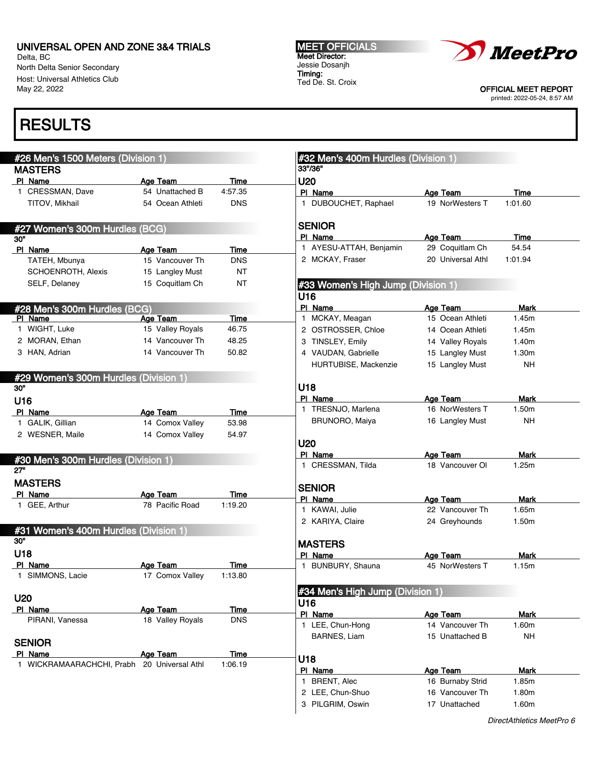Delta, BC North Delta Senior Secondary Host: Universal Athletics Club May 22, 2022

# RESULTS

#### #26 Men's 1500 Meters (Division 1) MASTERS Pl Name Age Team Time 1 CRESSMAN, Dave 54 Unattached B 4:57.35 TITOV, Mikhail 54 Ocean Athleti DNS #27 Women's 300m Hurdles (BCG) 30" PI Name **Age Team** Time TATEH, Mbunya 15 Vancouver Th DNS SCHOENROTH, Alexis 15 Langley Must NT SELF, Delaney 15 Coquitlam Ch NT #28 Men's 300m Hurdles (BCG) Age Team Time 1 WIGHT, Luke 15 Valley Royals 46.75 2 MORAN, Ethan 14 Vancouver Th 48.25 3 HAN, Adrian 14 Vancouver Th 50.82 #29 Women's 300m Hurdles (Division 1) 30" U16 PI Name **Age Team** Time 1 GALIK, Gillian 14 Comox Valley 53.98 2 WESNER, Maile 14 Comox Valley 54.97 #30 Men's 300m Hurdles (Division 1) 27" MASTERS PI Name **Age Team** Time 1 GEE, Arthur 78 Pacific Road 1:19.20 #31 Women's 400m Hurdles (Division 1) 30" U18 PI Name Age Team Time 1 SIMMONS, Lacie 17 Comox Valley 1:13.80 U20 PI Name **Age Team** Time PIRANI, Vanessa 18 Valley Royals DNS **SENIOR** PI Name **Age Team** Time 1 WICKRAMAARACHCHI, Prabh 20 Universal Athl 1:06.19 #32 Men's 400m Hurdles (Division 1) 33"/36" U20 PI Name Age Team Time 1 DUBOUCHET, Raphael 19 NorWesters T 1:01.60 SENIOR PI Name Age Team Time 1 AYESU-ATTAH, Benjamin 29 Coquitlam Ch 54.54 2 MCKAY, Fraser 20 Universal Athl 1:01.94 #33 Women's High Jump (Division 1) U16 PI Name Mark Age Team Mark 1 MCKAY, Meagan 15 Ocean Athleti 1.45m 2 OSTROSSER, Chloe 14 Ocean Athleti 1.45m 3 TINSLEY, Emily 14 Valley Royals 1.40m 4 VAUDAN, Gabrielle 15 Langley Must 1.30m HURTUBISE, Mackenzie 15 Langley Must NH U18 PI Name **Age Team** Mark 1 TRESNJO, Marlena 16 NorWesters T 1.50m BRUNORO, Maiya 16 Langley Must NH U20 PI Name **Age Team** Mark 1 CRESSMAN, Tilda 18 Vancouver Ol 1.25m **SENIOR** PI Name Mark Age Team Mark 1 KAWAI, Julie 22 Vancouver Th 1.65m 2 KARIYA, Claire 24 Greyhounds 1.50m MASTERS PI Name Age Team Mark 1 BUNBURY, Shauna 45 NorWesters T 1.15m #34 Men's High Jump (Division 1) U16 PI Name Age Team Mark 1 LEE, Chun-Hong 14 Vancouver Th 1.60m BARNES, Liam 15 Unattached B NH U18 PI Name Age Team Mark 1 BRENT, Alec 16 Burnaby Strid 1.85m 2 LEE, Chun-Shuo 16 Vancouver Th 1.80m 3 PILGRIM, Oswin 17 Unattached 1.60m

MEET OFFICIALS Meet Director: Jessie Dosanjh Timing: Ted De. St. Croix



OFFICIAL MEET REPORT printed: 2022-05-24, 8:57 AM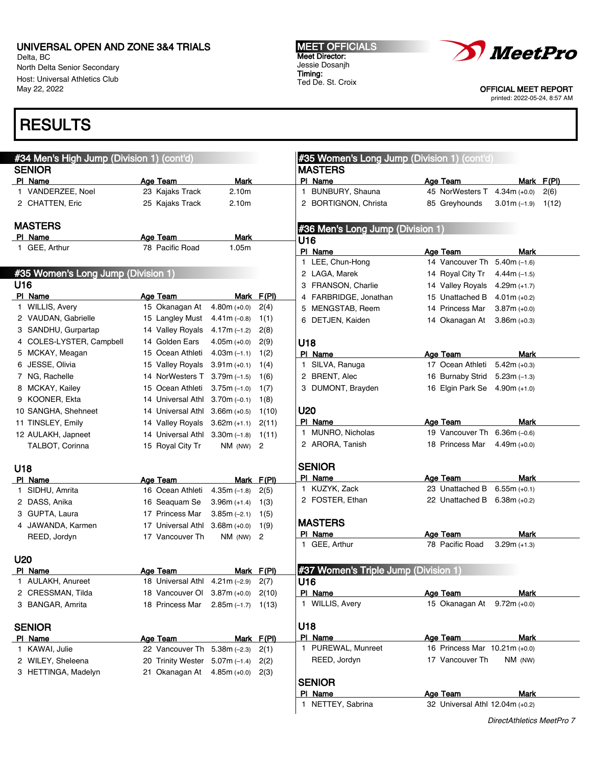Delta, BC North Delta Senior Secondary Host: Universal Athletics Club May 22, 2022

## RESULTS

#### #34 Men's High Jump (Division 1) (cont'd) **SENIOR** PI Name **Age Team** Mark 1 VANDERZEE, Noel 23 Kajaks Track 2.10m 2 CHATTEN, Eric 25 Kajaks Track 2.10m MASTERS PI Name **Age Team** Mark 1 GEE, Arthur 78 Pacific Road 1.05m #35 Women's Long Jump (Division 1) U16 PI Name Age Team Mark F(PI) 1 WILLIS, Avery 15 Okanagan At 4.80m (+0.0) 2(4) 2 VAUDAN, Gabrielle 15 Langley Must 4.41m (–0.8) 1(1) 3 SANDHU, Gurpartap 14 Valley Royals 4.17m (–1.2) 2(8) 4 COLES-LYSTER, Campbell 14 Golden Ears 4.05m (+0.0) 2(9) 5 MCKAY, Meagan 15 Ocean Athleti 4.03m (–1.1) 1(2) 6 JESSE, Olivia 15 Valley Royals 3.91m (+0.1) 1(4) 7 NG, Rachelle 14 NorWesters T 3.79m (–1.5) 1(6) 8 MCKAY, Kailey 15 Ocean Athleti 3.75m (–1.0) 1(7) 9 KOONER, Ekta 14 Universal Athl 3.70m (–0.1) 1(8) 10 SANGHA, Shehneet 14 Universal Athl 3.66m (+0.5) 1(10) 11 TINSLEY, Emily 14 Valley Royals 3.62m (+1.1) 2(11) 12 AULAKH, Japneet 14 Universal Athl 3.30m (–1.8) 1(11) TALBOT, Corinna 15 Royal City Tr NM (NW) 2 U18 PI Name **Age Team** Mark F(PI) 1 SIDHU, Amrita 16 Ocean Athleti 4.35m (–1.8) 2(5) 2 DASS, Anika 16 Seaquam Se 3.96m (+1.4) 1(3) 3 GUPTA, Laura 17 Princess Mar 3.85m (–2.1) 1(5) 4 JAWANDA, Karmen 17 Universal Athl 3.68m (+0.0) 1(9) REED, Jordyn 17 Vancouver Th NM (NW) 2 U20 PI Name Age Team Mark F(PI) 1 AULAKH, Anureet 18 Universal Athl 4.21m (–2.9) 2(7) 2 CRESSMAN, Tilda 18 Vancouver Ol 3.87m (+0.0) 2(10) 3 BANGAR, Amrita 18 Princess Mar 2.85m (–1.7) 1(13) **SENIOR** PI Name **Age Team** Mark F(PI) 1 KAWAI, Julie 22 Vancouver Th 5.38m (–2.3) 2(1) 2 WILEY, Sheleena 20 Trinity Wester 5.07m (–1.4) 2(2) 3 HETTINGA, Madelyn 21 Okanagan At 4.85m (+0.0) 2(3) #35 Women's Long Jump (Division 1) (cont'd) MASTERS Pl Name Age Team Mark F(Pl) 1 BUNBURY, Shauna 45 NorWesters T 4.34m (+0.0) 2(6) 2 BORTIGNON, Christa 85 Greyhounds 3.01m (–1.9) 1(12) #36 Men's Long Jump (Division 1) U16 PI Name Age Team Mark 1 LEE, Chun-Hong 14 Vancouver Th 5.40m (–1.6) 2 LAGA, Marek 14 Royal City Tr 4.44m (–1.5) 3 FRANSON, Charlie 14 Valley Royals 4.29m (+1.7) 4 FARBRIDGE, Jonathan 15 Unattached B 4.01m (+0.2) 5 MENGSTAB, Reem 14 Princess Mar 3.87m (+0.0) 6 DETJEN, Kaiden 14 Okanagan At 3.86m (+0.3) U18 PI Name **Age Team** Mark 1 SILVA, Ranuga 17 Ocean Athleti 5.42m (+0.3) 2 BRENT, Alec 16 Burnaby Strid 5.23m (-1.3) 3 DUMONT, Brayden 16 Elgin Park Se 4.90m (+1.0) U20 PI Name **Age Team** Mark 1 MUNRO, Nicholas 19 Vancouver Th 6.36m (–0.6) 2 ARORA, Tanish 18 Princess Mar 4.49m (+0.0) **SENIOR** PI Name Age Team Mark 1 KUZYK, Zack 23 Unattached B 6.55m (+0.1) 2 FOSTER, Ethan 22 Unattached B 6.38m (+0.2) **MASTERS** PI Name **Age Team** Mark 1 GEE, Arthur 78 Pacific Road 3.29m (+1.3) #37 Women's Triple Jump (Division 1) U16 PI Name **Age Team** Mark 1 WILLIS, Avery 15 Okanagan At 9.72m (+0.0) U18 PI Name Age Team Mark 1 PUREWAL, Munreet 16 Princess Mar 10.21m (+0.0) REED, Jordyn 17 Vancouver Th NM (NW) **SENIOR** PI Name Age Team Mark 1 NETTEY, Sabrina 32 Universal Athl 12.04m (+0.2)

MEET OFFICIALS Meet Director: Jessie Dosanjh Timing: Ted De. St. Croix



OFFICIAL MEET REPORT printed: 2022-05-24, 8:57 AM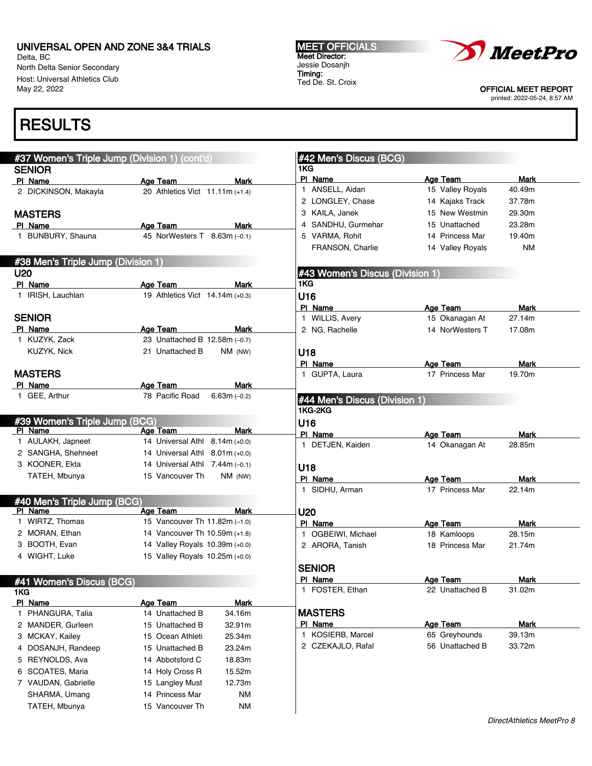#37 Women's Triple Jump (Division 1) (cont'd)

#38 Men's Triple Jump (Division 1)

#39 Women's Triple Jump (BCG)

#40 Men's Triple Jump (BCG)

#41 Women's Discus (BCG)

1KG

PI Name **Age Team** Mark 2 DICKINSON, Makayla 20 Athletics Vict 11.11m (+1.4)

PI Name **Age Team** Mark 1 BUNBURY, Shauna 45 NorWesters T 8.63m (–0.1)

PI Name **Age Team** Mark 1 IRISH, Lauchlan 19 Athletics Vict 14.14m (+0.3)

PI Name **Age Team** Mark 1 KUZYK, Zack 23 Unattached B 12.58m (–0.7) KUZYK, Nick 21 Unattached B NM (NW)

PI Name **Age Team** Mark 1 GEE, Arthur 78 Pacific Road 6.63m (–0.2)

 AULAKH, Japneet 14 Universal Athl 8.14m (+0.0) SANGHA, Shehneet 14 Universal Athl 8.01m (+0.0) KOONER, Ekta 14 Universal Athl 7.44m (–0.1) TATEH, Mbunya 15 Vancouver Th NM (NW)

 WIRTZ, Thomas 15 Vancouver Th 11.82m (–1.0) 2 MORAN, Ethan 14 Vancouver Th 10.59m (+1.8) BOOTH, Evan 14 Valley Royals 10.39m (+0.0) WIGHT, Luke 15 Valley Royals 10.25m (+0.0)

PI Name **Age Team** Mark 1 PHANGURA, Talia 14 Unattached B 34.16m 2 MANDER, Gurleen 15 Unattached B 32.91m 3 MCKAY, Kailey 15 Ocean Athleti 25.34m 4 DOSANJH, Randeep 15 Unattached B 23.24m 5 REYNOLDS, Ava 14 Abbotsford C 18.83m 6 SCOATES, Maria 14 Holy Cross R 15.52m 7 VAUDAN, Gabrielle 15 Langley Must 12.73m SHARMA, Umang 14 Princess Mar NM TATEH, Mbunya 15 Vancouver Th NM

Age Team Mark

Age Team Mark

Delta, BC North Delta Senior Secondary Host: Universal Athletics Club May 22, 2022

# RESULTS

**SENIOR** 

MASTERS

U20

SENIOR

MASTERS

MEET OFFICIALS Meet Director: Jessie Dosanjh Timing: Ted De. St. Croix

#42 Men's Discus (BCG)

#43 Women's Discus (Division 1)

#44 Men's Discus (Division 1)

PI Name Age Team Mark 1 ANSELL, Aidan 15 Valley Royals 40.49m 2 LONGLEY, Chase 14 Kajaks Track 37.78m 3 KAILA, Janek 15 New Westmin 29.30m 4 SANDHU, Gurmehar 15 Unattached 23.28m 5 VARMA, Rohit 14 Princess Mar 19.40m FRANSON, Charlie 14 Valley Royals NM

PI Name Mark Age Team Mark 1 WILLIS, Avery 15 Okanagan At 27.14m 2 NG, Rachelle 14 NorWesters T 17.08m

PI Name Age Team Mark 1 GUPTA, Laura 17 Princess Mar 19.70m

PI Name Age Team Mark 1 DETJEN, Kaiden 14 Okanagan At 28.85m

PI Name Mark Age Team Mark 1 SIDHU, Arman 17 Princess Mar 22.14m

PI Name **Age Team** Mark 1 OGBEIWI, Michael 18 Kamloops 28.15m 2 ARORA, Tanish 18 Princess Mar 21.74m

PI Name Age Team Mark<br>1 EQSTER Fiber 22 Upstrephot B 21.02m

1KG

1KG U16

U18

1KG-2KG U16

U18

U20

SENIOR



OFFICIAL MEET REPORT printed: 2022-05-24, 8:57 AM

| 1 FOSTER, Ethan   | 22 Unattached B | 31.02m |
|-------------------|-----------------|--------|
| <b>MASTERS</b>    |                 |        |
|                   |                 |        |
| PI Name           | Age Team        | Mark   |
| 1 KOSIERB, Marcel | 65 Greyhounds   | 39.13m |